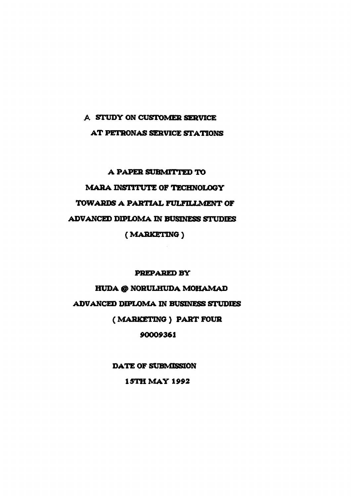## **A STUDY ON CUSTOMER SERVICE AT PETRONAS SERVICE STATIONS**

# **A PAPER SUBMITTED TO MARA INSTITUTE OF TECHNOLOGY TOWARDS A PARTIAL FULFILLMENT OF ADVANCED DIPLOMA IN BUSINESS STUDIES (MARKETING)**

## **PREPARED BY**

**HUDA @ NORULHUDA MOHAMAD ADVANCED DIPLOMA IN BUSINESS STUDIES (MARKETING) PART FOUR 90009361** 

> **DATE OF SUBMISSION 1STH MAY 1992**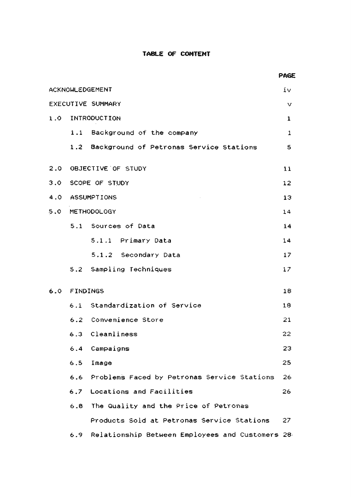## **TABLE OF CONTENT**

|                   |                    |                                                 | PAGE            |  |
|-------------------|--------------------|-------------------------------------------------|-----------------|--|
| ACKNOWLEDGEMENT   |                    |                                                 |                 |  |
| EXECUTIVE SUMMARY |                    |                                                 |                 |  |
|                   |                    | 1.0 INTRODUCTION                                | $\mathbf{1}$    |  |
|                   |                    | 1.1 Background of the company                   | $\mathbf 1$     |  |
|                   |                    | 1.2 Background of Petronas Service Stations     | 5               |  |
|                   |                    | 2.0 OBJECTIVE OF STUDY                          | 11              |  |
|                   | 3.0 SCOPE OF STUDY |                                                 |                 |  |
|                   | 4.0 ASSUMPTIONS    |                                                 |                 |  |
|                   | 5.0 METHODOLOGY    |                                                 |                 |  |
|                   |                    | 5.1 Sources of Data                             | 14              |  |
|                   |                    | 5.1.1 Primary Data                              | 14              |  |
|                   |                    | 5.1.2 Secondary Data                            | 17              |  |
|                   |                    | 5.2 Sampling Techniques                         | 17 <sub>2</sub> |  |
| 6.0               | FINDINGS           |                                                 |                 |  |
|                   |                    | 6.1 Standardization of Service                  | 18              |  |
|                   |                    | 6.2 Convenience Store                           | 21              |  |
|                   |                    | 6.3 Cleanliness                                 | 22              |  |
|                   | 6.4                | Campaigns                                       | 23              |  |
|                   | 6.5                | Image                                           | 25              |  |
|                   |                    | 6.6 Problems Faced by Petronas Service Stations | 26              |  |
|                   |                    | 6.7 Locations and Facilities                    | 26              |  |
|                   |                    | 6.8 The Quality and the Price of Petronas       |                 |  |
|                   |                    | Products Sold at Petronas Service Stations      | 27              |  |
|                   | 6.9                | Relationship Between Employees and Customers 28 |                 |  |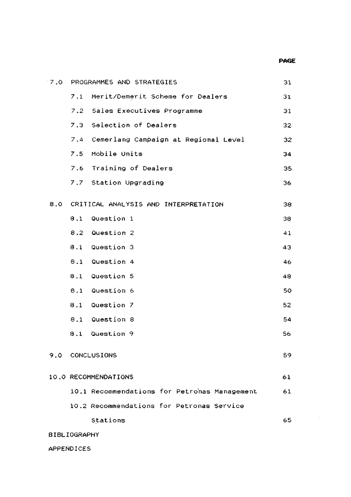#### PAGE

 $\hat{\mathcal{A}}$ 

| 7.0                 |     | PROGRAMMES AND STRATEGIES                    | 31  |  |  |  |
|---------------------|-----|----------------------------------------------|-----|--|--|--|
|                     | 7.1 | Merit/Demerit Scheme for Dealers             | 31  |  |  |  |
|                     |     | 7.2 Sales Executives Programme               | 31  |  |  |  |
|                     |     | 7.3 Selection of Dealers                     | 32  |  |  |  |
|                     |     | 7.4 Cemerlang Campaign at Regional Level     | 32  |  |  |  |
|                     |     | 7.5 Mobile Units                             | 34  |  |  |  |
|                     |     | 7.6 Training of Dealers                      | 35. |  |  |  |
|                     |     | 7.7 Station Upgrading                        | 36  |  |  |  |
| 8.0                 |     | CRITICAL ANALYSIS AND INTERPRETATION         | 38  |  |  |  |
|                     | 8.1 | Question 1                                   | 38  |  |  |  |
|                     |     | 8.2 Question 2                               | 41  |  |  |  |
|                     |     | 8.1 Question 3                               | 43  |  |  |  |
|                     |     | 8.1 Question 4                               | 46  |  |  |  |
|                     | 8.1 | Question 5                                   | 48  |  |  |  |
|                     |     | 8.1 Question 6                               | 50  |  |  |  |
|                     | 8.1 | Question 7                                   | 52  |  |  |  |
|                     |     | 8.1 Question 8                               | 54  |  |  |  |
|                     | 8.1 | Question 9                                   | 56  |  |  |  |
| 9.0                 |     | CONCLUSIONS                                  | 59  |  |  |  |
|                     |     | 10.0 RECOMMENDATIONS                         | 61  |  |  |  |
|                     |     | 10.1 Recommendations for Petronas Management | 61  |  |  |  |
|                     |     | 10.2 Recommendations for Petronas Service    |     |  |  |  |
|                     |     | Stations                                     | 65  |  |  |  |
| <b>BIBLIOGRAPHY</b> |     |                                              |     |  |  |  |

APPENDICES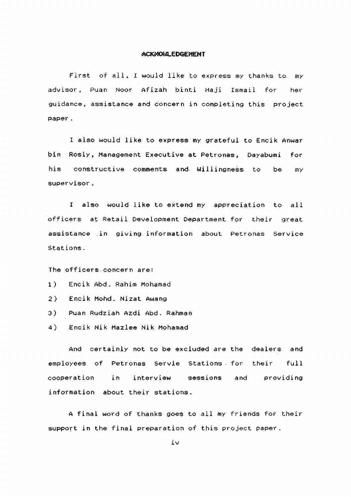### ACKNORLEDGEMENT

First of all, I would like to express my thanks to. my advisor, Puan Noor Afizah binti Haji Ismail for her guidance, assistance and concern in completing this project paper .

I also would like to express my grateful to Encik Anwar bin Rosly, Management Executive at Petronas, Dayabumi for his constructive comments and Willingness to be my supervisor .

I also would like to extend my appreciation to all officers at Retail Development Department for their great assistance in giving information about Petronas Service Stations.

The officers.concern are:

- 1) Encik Abd. Rahim Mohamad
- 2) Encik Mohd. Nizat Awang
- 3) Puan Rudziah Azdi Abd. Rahman
- 4) Encik Nik Mazlee Nik Mohamad

And certainly not to be excluded are the dealers and employees of Petronas Servie Stations for their full cooperation in interview sessions and providing information about their stations.

A final word of thanks goes to all my friends for their support in the final preparation of this project paper.

iv